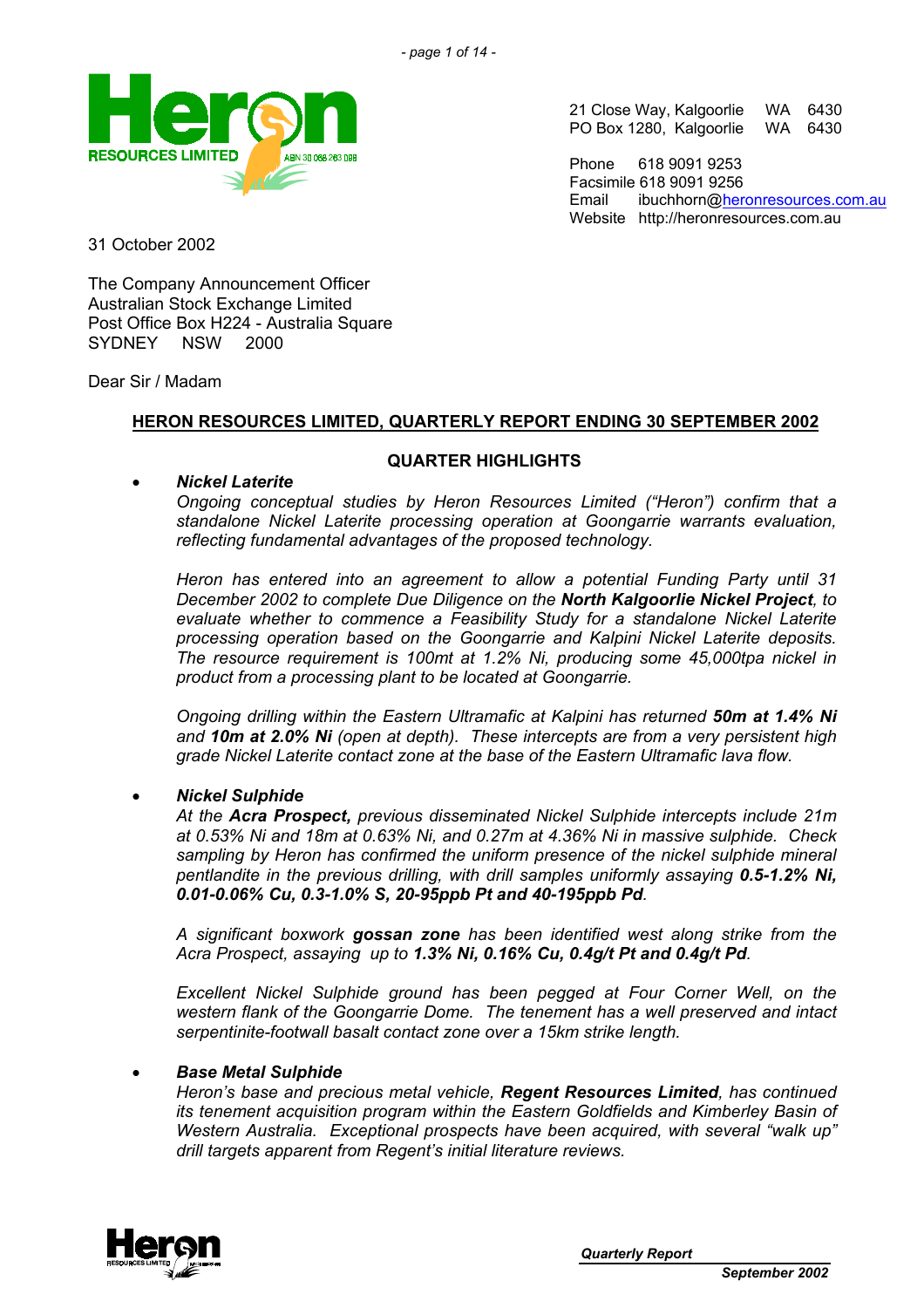

21 Close Way, Kalgoorlie WA 6430<br>PO Box 1280, Kalgoorlie WA 6430 PO Box 1280, Kalgoorlie

Phone 618 9091 9253 Facsimile 618 9091 9256 Email ibuchhorn[@heronresources.com.au](mailto:heron@emerge.net.au) Website http://heronresources.com.au

31 October 2002

The Company Announcement Officer Australian Stock Exchange Limited Post Office Box H224 - Australia Square SYDNEY NSW 2000

Dear Sir / Madam

# **HERON RESOURCES LIMITED, QUARTERLY REPORT ENDING 30 SEPTEMBER 2002**

# **QUARTER HIGHLIGHTS**

# • *Nickel Laterite*

*Ongoing conceptual studies by Heron Resources Limited ("Heron") confirm that a standalone Nickel Laterite processing operation at Goongarrie warrants evaluation, reflecting fundamental advantages of the proposed technology.* 

*Heron has entered into an agreement to allow a potential Funding Party until 31 December 2002 to complete Due Diligence on the North Kalgoorlie Nickel Project, to evaluate whether to commence a Feasibility Study for a standalone Nickel Laterite processing operation based on the Goongarrie and Kalpini Nickel Laterite deposits. The resource requirement is 100mt at 1.2% Ni, producing some 45,000tpa nickel in product from a processing plant to be located at Goongarrie.* 

*Ongoing drilling within the Eastern Ultramafic at Kalpini has returned 50m at 1.4% Ni and 10m at 2.0% Ni (open at depth). These intercepts are from a very persistent high grade Nickel Laterite contact zone at the base of the Eastern Ultramafic lava flow.* 

# • *Nickel Sulphide*

*At the Acra Prospect, previous disseminated Nickel Sulphide intercepts include 21m at 0.53% Ni and 18m at 0.63% Ni, and 0.27m at 4.36% Ni in massive sulphide. Check sampling by Heron has confirmed the uniform presence of the nickel sulphide mineral pentlandite in the previous drilling, with drill samples uniformly assaying 0.5-1.2% Ni, 0.01-0.06% Cu, 0.3-1.0% S, 20-95ppb Pt and 40-195ppb Pd.*

*A significant boxwork gossan zone has been identified west along strike from the Acra Prospect, assaying up to 1.3% Ni, 0.16% Cu, 0.4g/t Pt and 0.4g/t Pd.* 

*Excellent Nickel Sulphide ground has been pegged at Four Corner Well, on the western flank of the Goongarrie Dome. The tenement has a well preserved and intact serpentinite-footwall basalt contact zone over a 15km strike length.* 

# • *Base Metal Sulphide*

*Heron's base and precious metal vehicle, Regent Resources Limited, has continued its tenement acquisition program within the Eastern Goldfields and Kimberley Basin of Western Australia. Exceptional prospects have been acquired, with several "walk up" drill targets apparent from Regent's initial literature reviews.* 

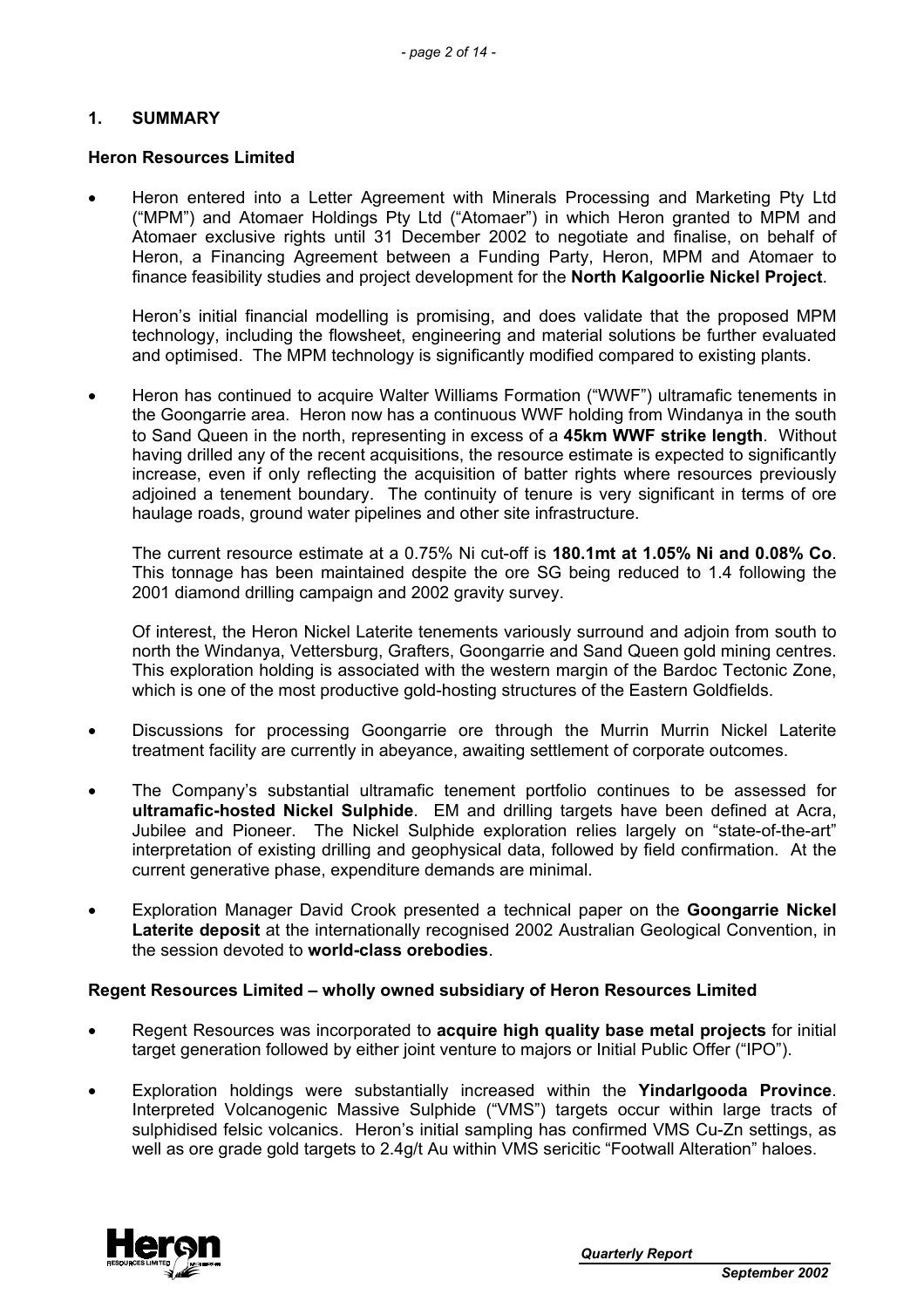# **1. SUMMARY**

### **Heron Resources Limited**

• Heron entered into a Letter Agreement with Minerals Processing and Marketing Pty Ltd ("MPM") and Atomaer Holdings Pty Ltd ("Atomaer") in which Heron granted to MPM and Atomaer exclusive rights until 31 December 2002 to negotiate and finalise, on behalf of Heron, a Financing Agreement between a Funding Party, Heron, MPM and Atomaer to finance feasibility studies and project development for the **North Kalgoorlie Nickel Project**.

Heron's initial financial modelling is promising, and does validate that the proposed MPM technology, including the flowsheet, engineering and material solutions be further evaluated and optimised. The MPM technology is significantly modified compared to existing plants.

• Heron has continued to acquire Walter Williams Formation ("WWF") ultramafic tenements in the Goongarrie area. Heron now has a continuous WWF holding from Windanya in the south to Sand Queen in the north, representing in excess of a **45km WWF strike length**. Without having drilled any of the recent acquisitions, the resource estimate is expected to significantly increase, even if only reflecting the acquisition of batter rights where resources previously adjoined a tenement boundary. The continuity of tenure is very significant in terms of ore haulage roads, ground water pipelines and other site infrastructure.

The current resource estimate at a 0.75% Ni cut-off is **180.1mt at 1.05% Ni and 0.08% Co**. This tonnage has been maintained despite the ore SG being reduced to 1.4 following the 2001 diamond drilling campaign and 2002 gravity survey.

Of interest, the Heron Nickel Laterite tenements variously surround and adjoin from south to north the Windanya, Vettersburg, Grafters, Goongarrie and Sand Queen gold mining centres. This exploration holding is associated with the western margin of the Bardoc Tectonic Zone, which is one of the most productive gold-hosting structures of the Eastern Goldfields.

- Discussions for processing Goongarrie ore through the Murrin Murrin Nickel Laterite treatment facility are currently in abeyance, awaiting settlement of corporate outcomes.
- The Company's substantial ultramafic tenement portfolio continues to be assessed for **ultramafic-hosted Nickel Sulphide**. EM and drilling targets have been defined at Acra, Jubilee and Pioneer. The Nickel Sulphide exploration relies largely on "state-of-the-art" interpretation of existing drilling and geophysical data, followed by field confirmation. At the current generative phase, expenditure demands are minimal.
- Exploration Manager David Crook presented a technical paper on the **Goongarrie Nickel Laterite deposit** at the internationally recognised 2002 Australian Geological Convention, in the session devoted to **world-class orebodies**.

#### **Regent Resources Limited – wholly owned subsidiary of Heron Resources Limited**

- Regent Resources was incorporated to **acquire high quality base metal projects** for initial target generation followed by either joint venture to majors or Initial Public Offer ("IPO").
- Exploration holdings were substantially increased within the **Yindarlgooda Province**. Interpreted Volcanogenic Massive Sulphide ("VMS") targets occur within large tracts of sulphidised felsic volcanics. Heron's initial sampling has confirmed VMS Cu-Zn settings, as well as ore grade gold targets to 2.4g/t Au within VMS sericitic "Footwall Alteration" haloes.

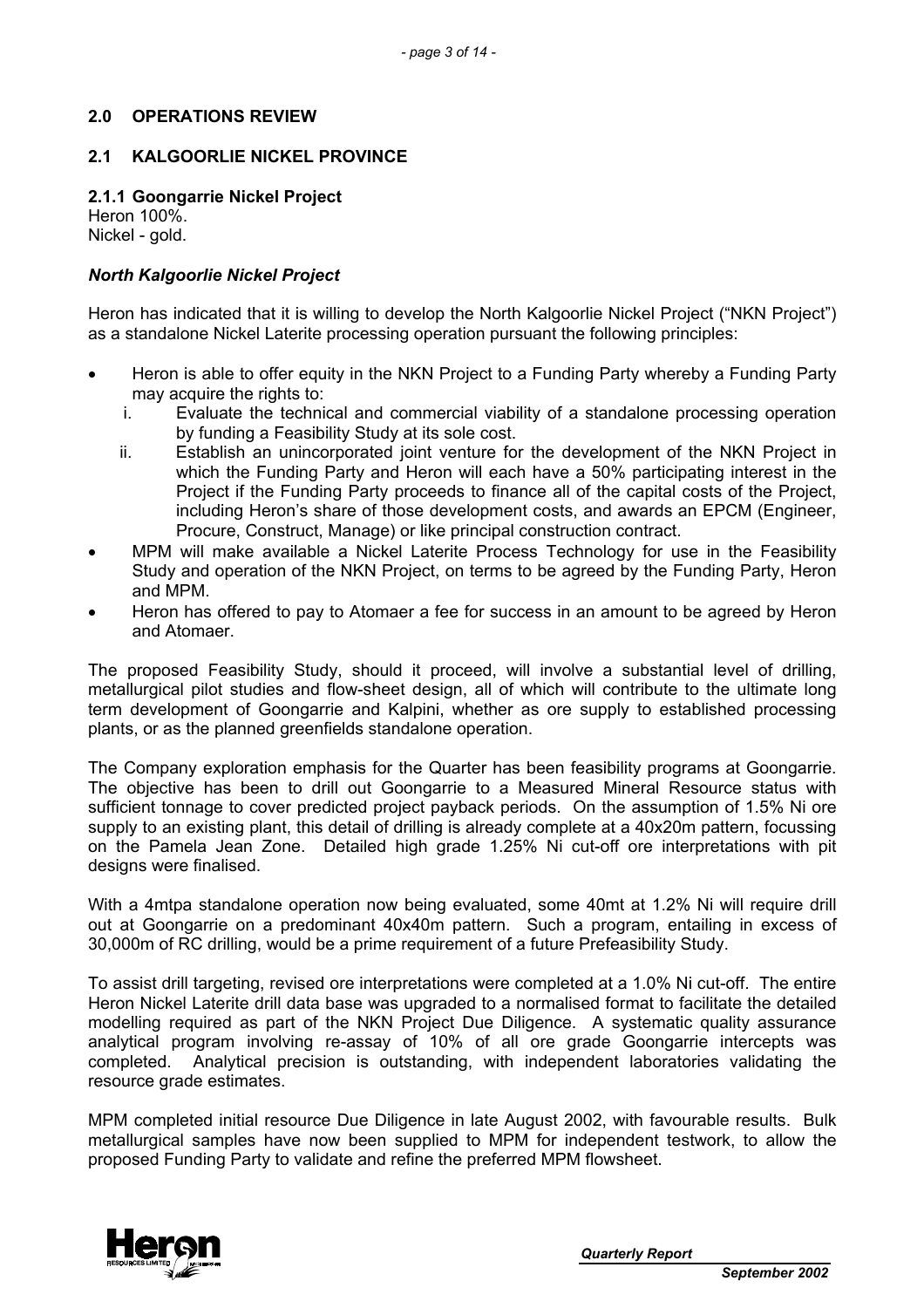# **2.0 OPERATIONS REVIEW**

### **2.1 KALGOORLIE NICKEL PROVINCE**

**2.1.1 Goongarrie Nickel Project** 

Heron 100%. Nickel - gold.

# *North Kalgoorlie Nickel Project*

Heron has indicated that it is willing to develop the North Kalgoorlie Nickel Project ("NKN Project") as a standalone Nickel Laterite processing operation pursuant the following principles:

- Heron is able to offer equity in the NKN Project to a Funding Party whereby a Funding Party may acquire the rights to:
	- i. Evaluate the technical and commercial viability of a standalone processing operation by funding a Feasibility Study at its sole cost.
	- ii. Establish an unincorporated joint venture for the development of the NKN Project in which the Funding Party and Heron will each have a 50% participating interest in the Project if the Funding Party proceeds to finance all of the capital costs of the Project, including Heron's share of those development costs, and awards an EPCM (Engineer, Procure, Construct, Manage) or like principal construction contract.
- MPM will make available a Nickel Laterite Process Technology for use in the Feasibility Study and operation of the NKN Project, on terms to be agreed by the Funding Party, Heron and MPM.
- Heron has offered to pay to Atomaer a fee for success in an amount to be agreed by Heron and Atomaer.

The proposed Feasibility Study, should it proceed, will involve a substantial level of drilling, metallurgical pilot studies and flow-sheet design, all of which will contribute to the ultimate long term development of Goongarrie and Kalpini, whether as ore supply to established processing plants, or as the planned greenfields standalone operation.

The Company exploration emphasis for the Quarter has been feasibility programs at Goongarrie. The objective has been to drill out Goongarrie to a Measured Mineral Resource status with sufficient tonnage to cover predicted project payback periods. On the assumption of 1.5% Ni ore supply to an existing plant, this detail of drilling is already complete at a 40x20m pattern, focussing on the Pamela Jean Zone. Detailed high grade 1.25% Ni cut-off ore interpretations with pit designs were finalised.

With a 4mtpa standalone operation now being evaluated, some 40mt at 1.2% Ni will require drill out at Goongarrie on a predominant 40x40m pattern. Such a program, entailing in excess of 30,000m of RC drilling, would be a prime requirement of a future Prefeasibility Study.

To assist drill targeting, revised ore interpretations were completed at a 1.0% Ni cut-off. The entire Heron Nickel Laterite drill data base was upgraded to a normalised format to facilitate the detailed modelling required as part of the NKN Project Due Diligence. A systematic quality assurance analytical program involving re-assay of 10% of all ore grade Goongarrie intercepts was completed. Analytical precision is outstanding, with independent laboratories validating the resource grade estimates.

MPM completed initial resource Due Diligence in late August 2002, with favourable results. Bulk metallurgical samples have now been supplied to MPM for independent testwork, to allow the proposed Funding Party to validate and refine the preferred MPM flowsheet.

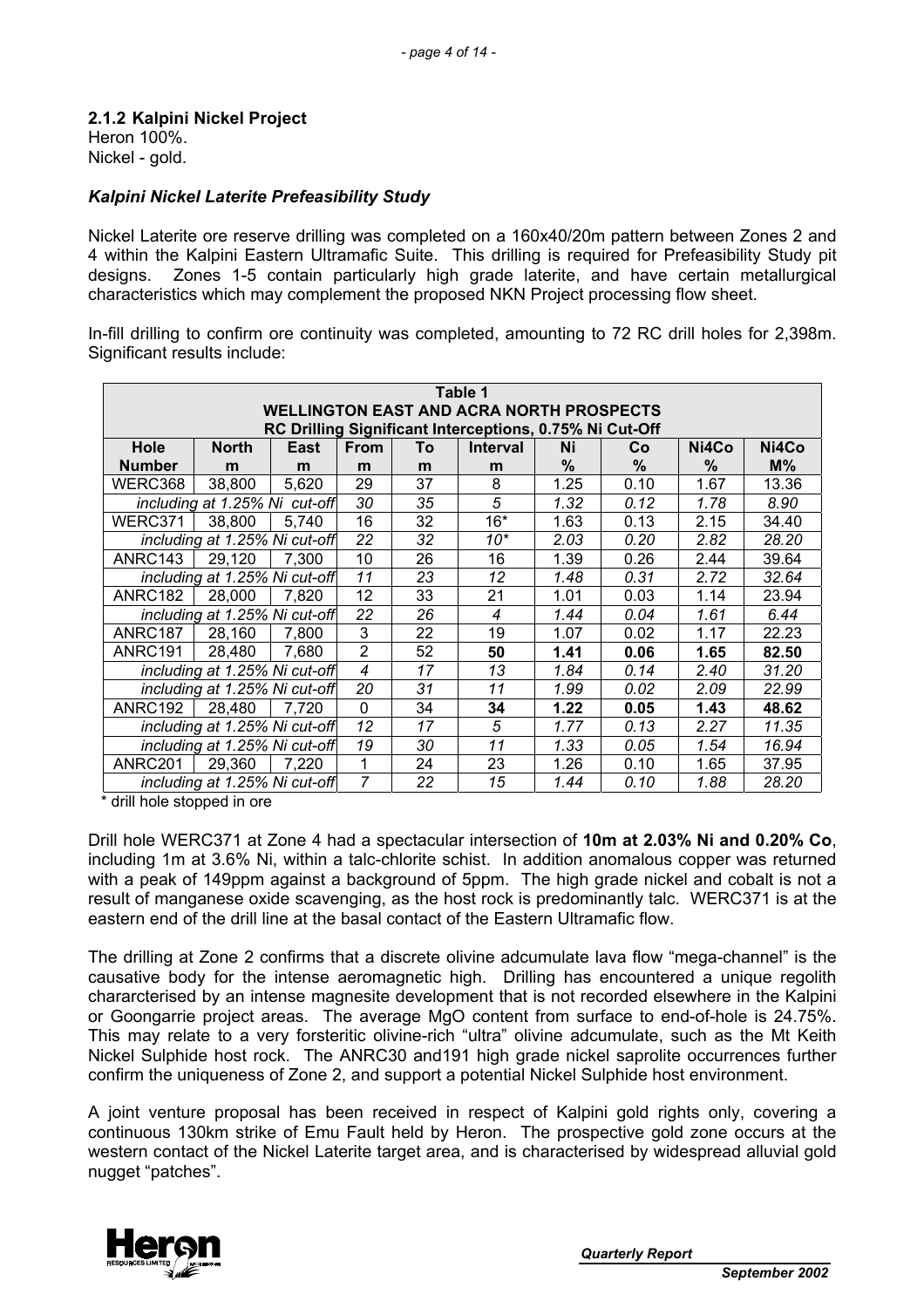#### **2.1.2 Kalpini Nickel Project**  Heron 100%.

Nickel - gold.

# *Kalpini Nickel Laterite Prefeasibility Study*

Nickel Laterite ore reserve drilling was completed on a 160x40/20m pattern between Zones 2 and 4 within the Kalpini Eastern Ultramafic Suite. This drilling is required for Prefeasibility Study pit designs. Zones 1-5 contain particularly high grade laterite, and have certain metallurgical characteristics which may complement the proposed NKN Project processing flow sheet.

In-fill drilling to confirm ore continuity was completed, amounting to 72 RC drill holes for 2,398m. Significant results include:

| Table 1             |                                                                                  |       |                |    |                                                         |      |               |       |       |
|---------------------|----------------------------------------------------------------------------------|-------|----------------|----|---------------------------------------------------------|------|---------------|-------|-------|
|                     | <b>WELLINGTON EAST AND ACRA NORTH PROSPECTS</b>                                  |       |                |    |                                                         |      |               |       |       |
|                     |                                                                                  |       |                |    | RC Drilling Significant Interceptions, 0.75% Ni Cut-Off |      |               |       |       |
| Hole                | <b>North</b>                                                                     | East  | <b>From</b>    | To | <b>Interval</b>                                         | Ni   | Co            | Ni4Co | Ni4Co |
| <b>Number</b>       | m                                                                                | m     | m              | m  | m                                                       | $\%$ | $\frac{0}{0}$ | %     | $M\%$ |
| WERC368             | 38,800                                                                           | 5,620 | 29             | 37 | 8                                                       | 1.25 | 0.10          | 1.67  | 13.36 |
|                     | including at 1.25% Ni cut-off                                                    |       | 30             | 35 | 5                                                       | 1.32 | 0.12          | 1.78  | 8.90  |
| WERC371             | 38,800                                                                           | 5,740 | 16             | 32 | $16*$                                                   | 1.63 | 0.13          | 2.15  | 34.40 |
|                     | including at 1.25% Ni cut-off                                                    |       | 22             | 32 | $10*$                                                   | 2.03 | 0.20          | 2.82  | 28.20 |
| ANRC143             | 29,120                                                                           | 7,300 | 10             | 26 | 16                                                      | 1.39 | 0.26          | 2.44  | 39.64 |
|                     | including at 1.25% Ni cut-off                                                    |       | 11             | 23 | 12                                                      | 1.48 | 0.31          | 2.72  | 32.64 |
| ANRC182             | 28,000                                                                           | 7,820 | 12             | 33 | 21                                                      | 1.01 | 0.03          | 1.14  | 23.94 |
|                     | including at 1.25% Ni cut-off                                                    |       | 22             | 26 | 4                                                       | 1.44 | 0.04          | 1.61  | 6.44  |
| ANRC187             | 28,160                                                                           | 7,800 | 3              | 22 | 19                                                      | 1.07 | 0.02          | 1.17  | 22.23 |
| ANRC191             | 28,480                                                                           | 7,680 | $\overline{2}$ | 52 | 50                                                      | 1.41 | 0.06          | 1.65  | 82.50 |
|                     | including at 1.25% Ni cut-off                                                    |       | $\overline{4}$ | 17 | 13                                                      | 1.84 | 0.14          | 2.40  | 31.20 |
|                     | including at 1.25% Ni cut-off                                                    |       | 20             | 31 | 11                                                      | 1.99 | 0.02          | 2.09  | 22.99 |
| ANRC192             | 28,480                                                                           | 7,720 | 0              | 34 | 34                                                      | 1.22 | 0.05          | 1.43  | 48.62 |
|                     | 12<br>5<br>17<br>including at 1.25% Ni cut-off<br>1.77<br>0.13<br>11.35<br>2.27  |       |                |    |                                                         |      |               |       |       |
|                     | including at 1.25% Ni cut-off<br>19<br>11<br>30<br>1.33<br>0.05<br>16.94<br>1.54 |       |                |    |                                                         |      |               |       |       |
| ANRC <sub>201</sub> | 29,360                                                                           | 7.220 | 1              | 24 | 23                                                      | 1.26 | 0.10          | 1.65  | 37.95 |
|                     | including at 1.25% Ni cut-off                                                    |       | $\overline{7}$ | 22 | 15                                                      | 1.44 | 0.10          | 1.88  | 28.20 |

\* drill hole stopped in ore

Drill hole WERC371 at Zone 4 had a spectacular intersection of **10m at 2.03% Ni and 0.20% Co**, including 1m at 3.6% Ni, within a talc-chlorite schist. In addition anomalous copper was returned with a peak of 149ppm against a background of 5ppm. The high grade nickel and cobalt is not a result of manganese oxide scavenging, as the host rock is predominantly talc. WERC371 is at the eastern end of the drill line at the basal contact of the Eastern Ultramafic flow.

The drilling at Zone 2 confirms that a discrete olivine adcumulate lava flow "mega-channel" is the causative body for the intense aeromagnetic high. Drilling has encountered a unique regolith chararcterised by an intense magnesite development that is not recorded elsewhere in the Kalpini or Goongarrie project areas. The average MgO content from surface to end-of-hole is 24.75%. This may relate to a very forsteritic olivine-rich "ultra" olivine adcumulate, such as the Mt Keith Nickel Sulphide host rock. The ANRC30 and191 high grade nickel saprolite occurrences further confirm the uniqueness of Zone 2, and support a potential Nickel Sulphide host environment.

A joint venture proposal has been received in respect of Kalpini gold rights only, covering a continuous 130km strike of Emu Fault held by Heron. The prospective gold zone occurs at the western contact of the Nickel Laterite target area, and is characterised by widespread alluvial gold nugget "patches".

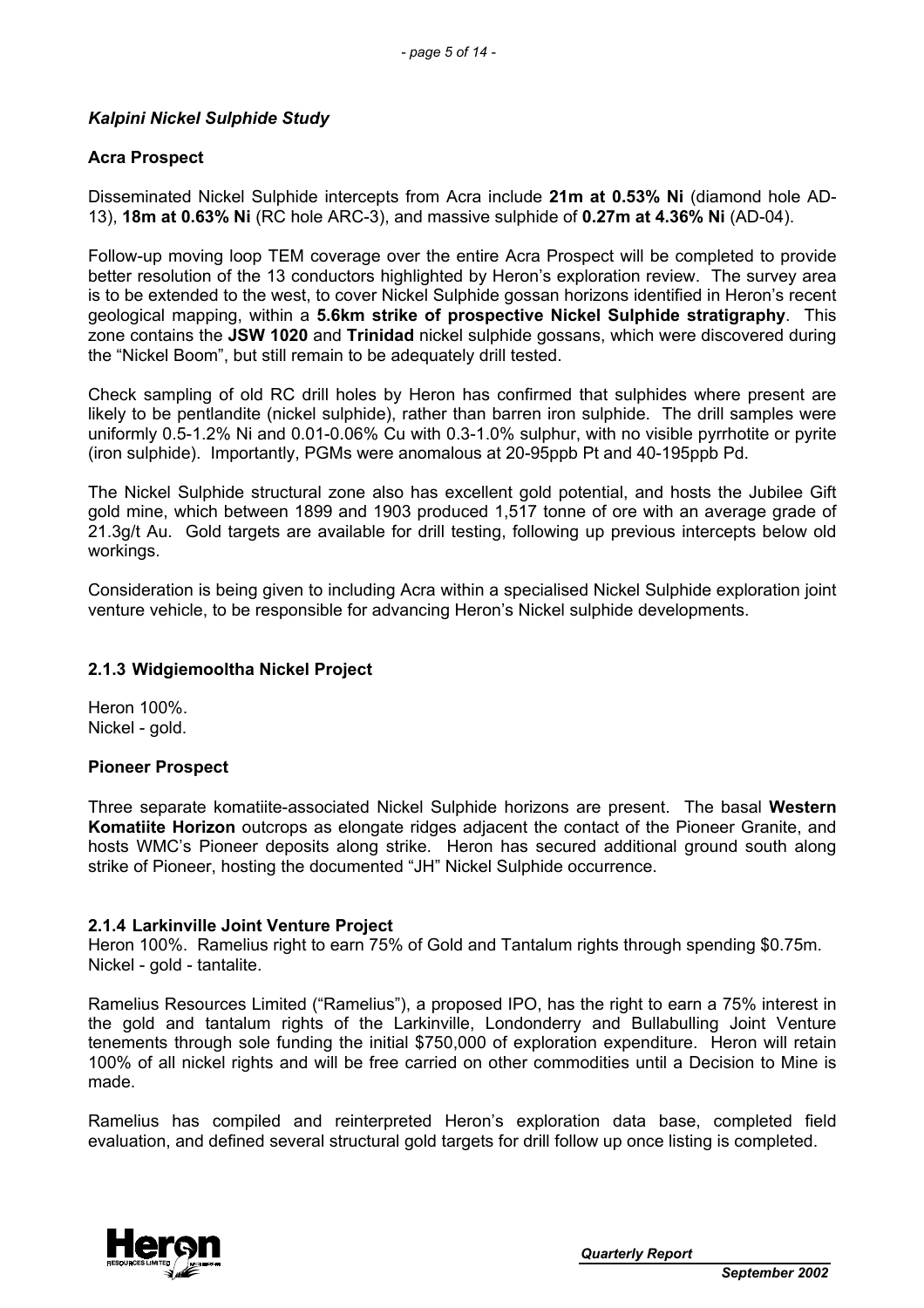# *Kalpini Nickel Sulphide Study*

# **Acra Prospect**

Disseminated Nickel Sulphide intercepts from Acra include **21m at 0.53% Ni** (diamond hole AD-13), **18m at 0.63% Ni** (RC hole ARC-3), and massive sulphide of **0.27m at 4.36% Ni** (AD-04).

Follow-up moving loop TEM coverage over the entire Acra Prospect will be completed to provide better resolution of the 13 conductors highlighted by Heron's exploration review. The survey area is to be extended to the west, to cover Nickel Sulphide gossan horizons identified in Heron's recent geological mapping, within a **5.6km strike of prospective Nickel Sulphide stratigraphy**. This zone contains the **JSW 1020** and **Trinidad** nickel sulphide gossans, which were discovered during the "Nickel Boom", but still remain to be adequately drill tested.

Check sampling of old RC drill holes by Heron has confirmed that sulphides where present are likely to be pentlandite (nickel sulphide), rather than barren iron sulphide. The drill samples were uniformly 0.5-1.2% Ni and 0.01-0.06% Cu with 0.3-1.0% sulphur, with no visible pyrrhotite or pyrite (iron sulphide). Importantly, PGMs were anomalous at 20-95ppb Pt and 40-195ppb Pd.

The Nickel Sulphide structural zone also has excellent gold potential, and hosts the Jubilee Gift gold mine, which between 1899 and 1903 produced 1,517 tonne of ore with an average grade of 21.3g/t Au. Gold targets are available for drill testing, following up previous intercepts below old workings.

Consideration is being given to including Acra within a specialised Nickel Sulphide exploration joint venture vehicle, to be responsible for advancing Heron's Nickel sulphide developments.

# **2.1.3 Widgiemooltha Nickel Project**

Heron 100%. Nickel - gold.

# **Pioneer Prospect**

Three separate komatiite-associated Nickel Sulphide horizons are present. The basal **Western Komatiite Horizon** outcrops as elongate ridges adjacent the contact of the Pioneer Granite, and hosts WMC's Pioneer deposits along strike. Heron has secured additional ground south along strike of Pioneer, hosting the documented "JH" Nickel Sulphide occurrence.

# **2.1.4 Larkinville Joint Venture Project**

Heron 100%. Ramelius right to earn 75% of Gold and Tantalum rights through spending \$0.75m. Nickel - gold - tantalite.

Ramelius Resources Limited ("Ramelius"), a proposed IPO, has the right to earn a 75% interest in the gold and tantalum rights of the Larkinville, Londonderry and Bullabulling Joint Venture tenements through sole funding the initial \$750,000 of exploration expenditure. Heron will retain 100% of all nickel rights and will be free carried on other commodities until a Decision to Mine is made.

Ramelius has compiled and reinterpreted Heron's exploration data base, completed field evaluation, and defined several structural gold targets for drill follow up once listing is completed.

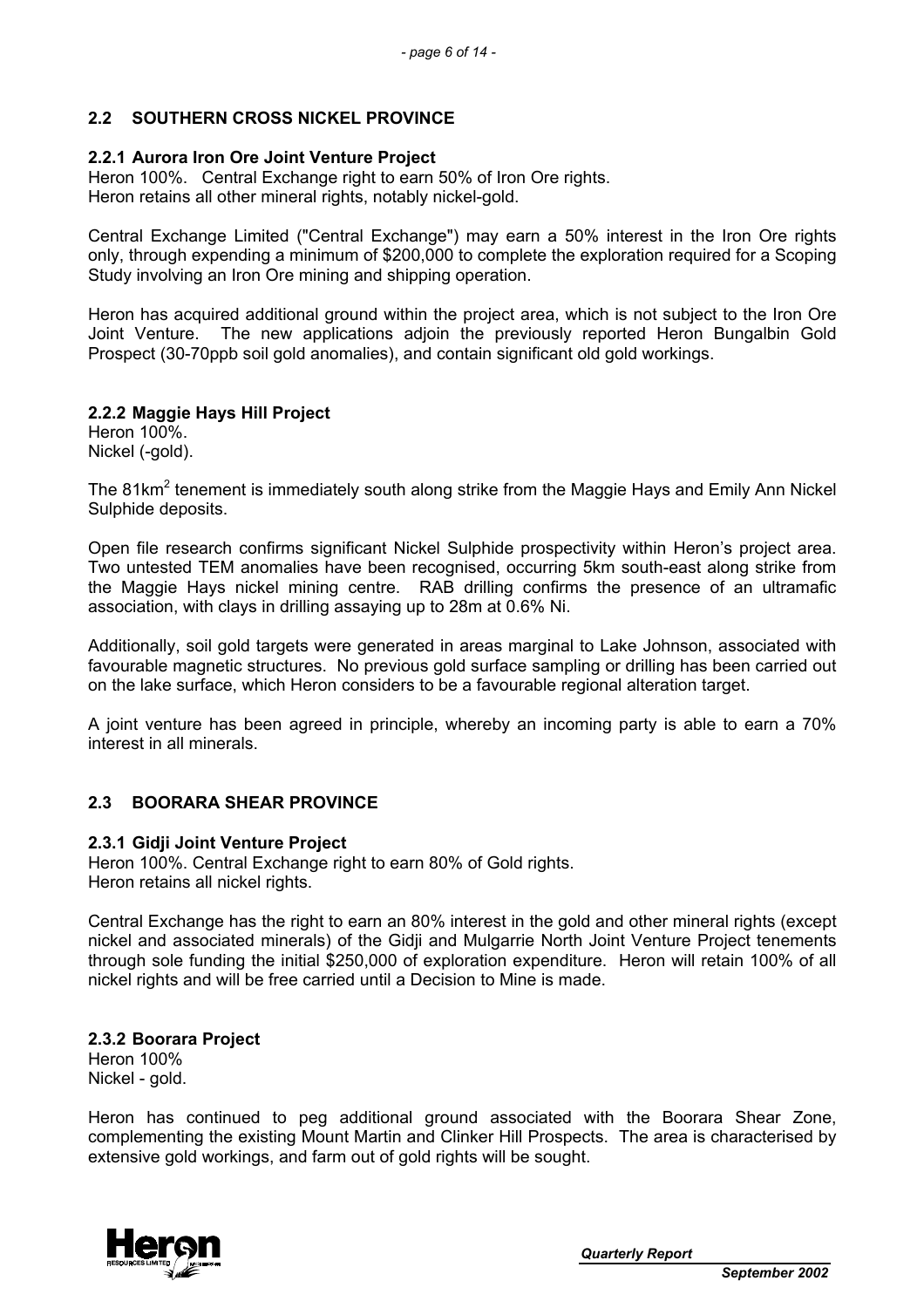# **2.2 SOUTHERN CROSS NICKEL PROVINCE**

### **2.2.1 Aurora Iron Ore Joint Venture Project**

Heron 100%. Central Exchange right to earn 50% of Iron Ore rights. Heron retains all other mineral rights, notably nickel-gold.

Central Exchange Limited ("Central Exchange") may earn a 50% interest in the Iron Ore rights only, through expending a minimum of \$200,000 to complete the exploration required for a Scoping Study involving an Iron Ore mining and shipping operation.

Heron has acquired additional ground within the project area, which is not subject to the Iron Ore Joint Venture. The new applications adjoin the previously reported Heron Bungalbin Gold Prospect (30-70ppb soil gold anomalies), and contain significant old gold workings.

### **2.2.2 Maggie Hays Hill Project**

Heron 100%. Nickel (-gold).

The 81km<sup>2</sup> tenement is immediately south along strike from the Maggie Hays and Emily Ann Nickel Sulphide deposits.

Open file research confirms significant Nickel Sulphide prospectivity within Heron's project area. Two untested TEM anomalies have been recognised, occurring 5km south-east along strike from the Maggie Hays nickel mining centre. RAB drilling confirms the presence of an ultramafic association, with clays in drilling assaying up to 28m at 0.6% Ni.

Additionally, soil gold targets were generated in areas marginal to Lake Johnson, associated with favourable magnetic structures. No previous gold surface sampling or drilling has been carried out on the lake surface, which Heron considers to be a favourable regional alteration target.

A joint venture has been agreed in principle, whereby an incoming party is able to earn a 70% interest in all minerals.

# **2.3 BOORARA SHEAR PROVINCE**

#### **2.3.1 Gidji Joint Venture Project**

Heron 100%. Central Exchange right to earn 80% of Gold rights. Heron retains all nickel rights.

Central Exchange has the right to earn an 80% interest in the gold and other mineral rights (except nickel and associated minerals) of the Gidji and Mulgarrie North Joint Venture Project tenements through sole funding the initial \$250,000 of exploration expenditure. Heron will retain 100% of all nickel rights and will be free carried until a Decision to Mine is made.

# **2.3.2 Boorara Project**

Heron 100% Nickel - gold.

Heron has continued to peg additional ground associated with the Boorara Shear Zone, complementing the existing Mount Martin and Clinker Hill Prospects. The area is characterised by extensive gold workings, and farm out of gold rights will be sought.

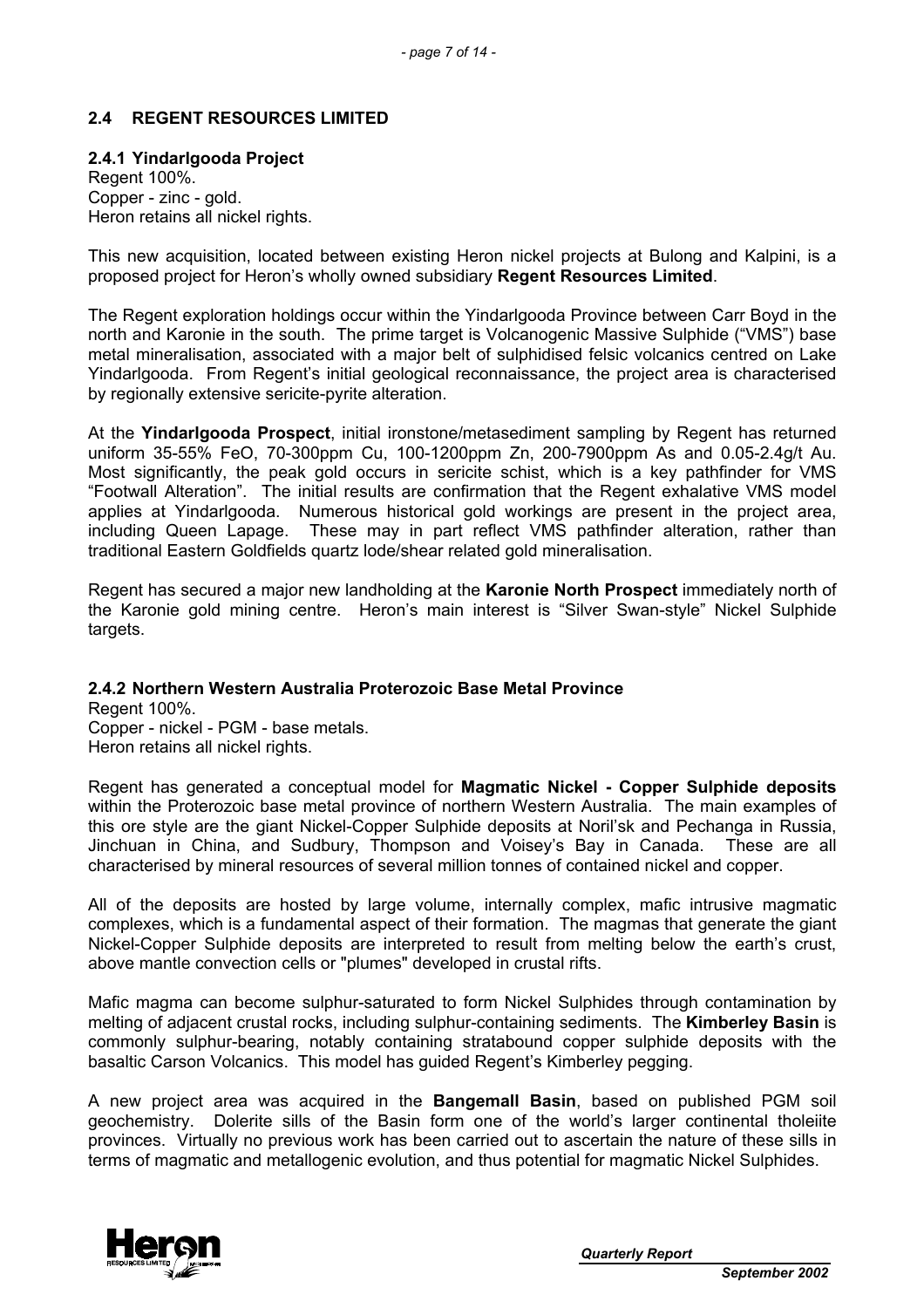# **2.4 REGENT RESOURCES LIMITED**

### **2.4.1 Yindarlgooda Project**

Regent 100%. Copper - zinc - gold. Heron retains all nickel rights.

This new acquisition, located between existing Heron nickel projects at Bulong and Kalpini, is a proposed project for Heron's wholly owned subsidiary **Regent Resources Limited**.

The Regent exploration holdings occur within the Yindarlgooda Province between Carr Boyd in the north and Karonie in the south. The prime target is Volcanogenic Massive Sulphide ("VMS") base metal mineralisation, associated with a major belt of sulphidised felsic volcanics centred on Lake Yindarlgooda. From Regent's initial geological reconnaissance, the project area is characterised by regionally extensive sericite-pyrite alteration.

At the **Yindarlgooda Prospect**, initial ironstone/metasediment sampling by Regent has returned uniform 35-55% FeO, 70-300ppm Cu, 100-1200ppm Zn, 200-7900ppm As and 0.05-2.4g/t Au. Most significantly, the peak gold occurs in sericite schist, which is a key pathfinder for VMS "Footwall Alteration". The initial results are confirmation that the Regent exhalative VMS model applies at Yindarlgooda. Numerous historical gold workings are present in the project area, including Queen Lapage. These may in part reflect VMS pathfinder alteration, rather than traditional Eastern Goldfields quartz lode/shear related gold mineralisation.

Regent has secured a major new landholding at the **Karonie North Prospect** immediately north of the Karonie gold mining centre. Heron's main interest is "Silver Swan-style" Nickel Sulphide targets.

#### **2.4.2 Northern Western Australia Proterozoic Base Metal Province**

Regent 100%. Copper - nickel - PGM - base metals. Heron retains all nickel rights.

Regent has generated a conceptual model for **Magmatic Nickel - Copper Sulphide deposits** within the Proterozoic base metal province of northern Western Australia. The main examples of this ore style are the giant Nickel-Copper Sulphide deposits at Noril'sk and Pechanga in Russia, Jinchuan in China, and Sudbury, Thompson and Voisey's Bay in Canada. These are all characterised by mineral resources of several million tonnes of contained nickel and copper.

All of the deposits are hosted by large volume, internally complex, mafic intrusive magmatic complexes, which is a fundamental aspect of their formation. The magmas that generate the giant Nickel-Copper Sulphide deposits are interpreted to result from melting below the earth's crust, above mantle convection cells or "plumes" developed in crustal rifts.

Mafic magma can become sulphur-saturated to form Nickel Sulphides through contamination by melting of adjacent crustal rocks, including sulphur-containing sediments. The **Kimberley Basin** is commonly sulphur-bearing, notably containing stratabound copper sulphide deposits with the basaltic Carson Volcanics. This model has guided Regent's Kimberley pegging.

A new project area was acquired in the **Bangemall Basin**, based on published PGM soil geochemistry. Dolerite sills of the Basin form one of the world's larger continental tholeiite provinces. Virtually no previous work has been carried out to ascertain the nature of these sills in terms of magmatic and metallogenic evolution, and thus potential for magmatic Nickel Sulphides.

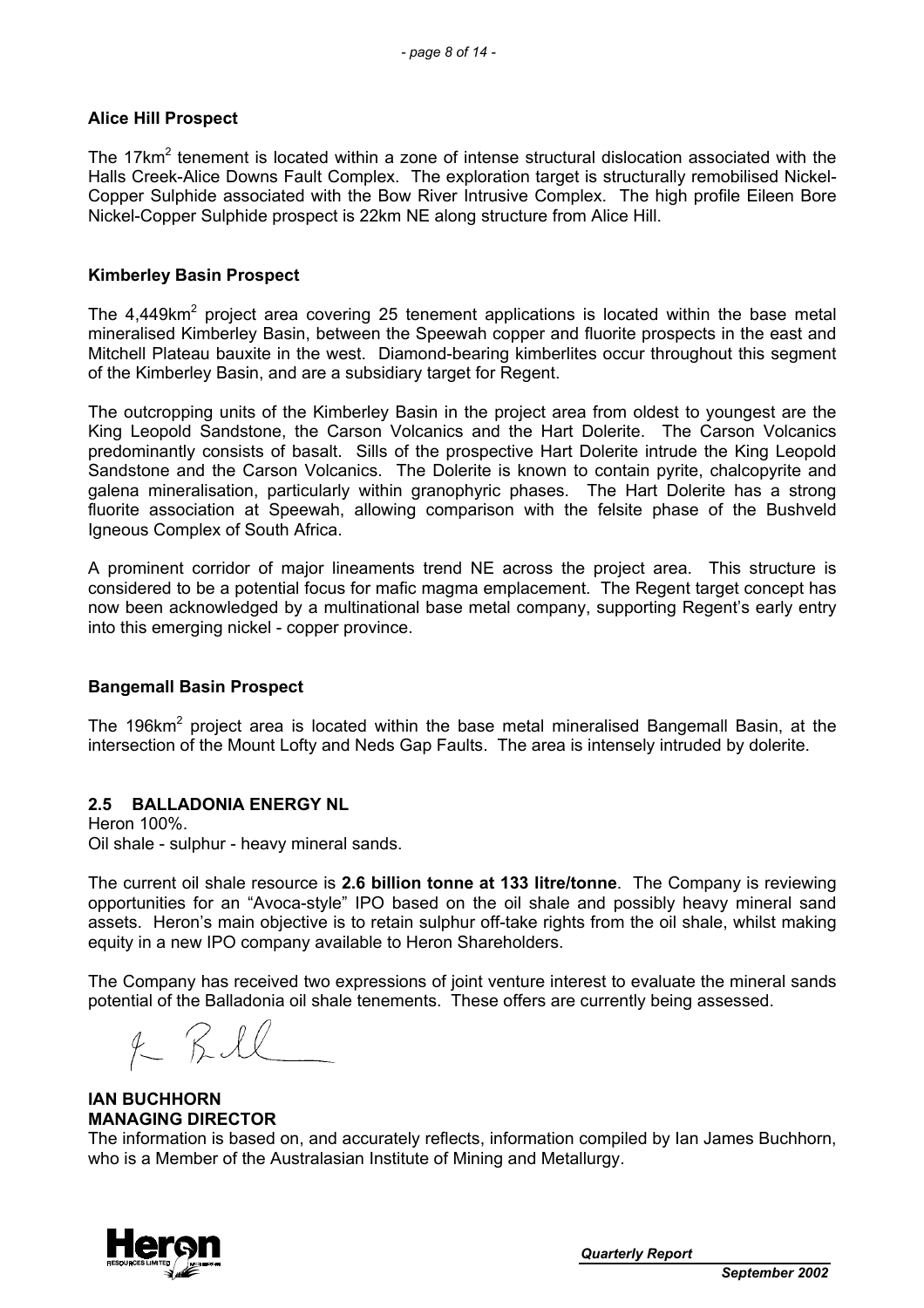# **Alice Hill Prospect**

The 17 $km^2$  tenement is located within a zone of intense structural dislocation associated with the Halls Creek-Alice Downs Fault Complex. The exploration target is structurally remobilised Nickel-Copper Sulphide associated with the Bow River Intrusive Complex. The high profile Eileen Bore Nickel-Copper Sulphide prospect is 22km NE along structure from Alice Hill.

### **Kimberley Basin Prospect**

The 4,449km<sup>2</sup> project area covering 25 tenement applications is located within the base metal mineralised Kimberley Basin, between the Speewah copper and fluorite prospects in the east and Mitchell Plateau bauxite in the west. Diamond-bearing kimberlites occur throughout this segment of the Kimberley Basin, and are a subsidiary target for Regent.

The outcropping units of the Kimberley Basin in the project area from oldest to youngest are the King Leopold Sandstone, the Carson Volcanics and the Hart Dolerite. The Carson Volcanics predominantly consists of basalt. Sills of the prospective Hart Dolerite intrude the King Leopold Sandstone and the Carson Volcanics. The Dolerite is known to contain pyrite, chalcopyrite and galena mineralisation, particularly within granophyric phases. The Hart Dolerite has a strong fluorite association at Speewah, allowing comparison with the felsite phase of the Bushveld Igneous Complex of South Africa.

A prominent corridor of major lineaments trend NE across the project area. This structure is considered to be a potential focus for mafic magma emplacement. The Regent target concept has now been acknowledged by a multinational base metal company, supporting Regent's early entry into this emerging nickel - copper province.

# **Bangemall Basin Prospect**

The 196km<sup>2</sup> project area is located within the base metal mineralised Bangemall Basin, at the intersection of the Mount Lofty and Neds Gap Faults. The area is intensely intruded by dolerite.

# **2.5 BALLADONIA ENERGY NL**

Heron 100%. Oil shale - sulphur - heavy mineral sands.

The current oil shale resource is **2.6 billion tonne at 133 litre/tonne**. The Company is reviewing opportunities for an "Avoca-style" IPO based on the oil shale and possibly heavy mineral sand assets. Heron's main objective is to retain sulphur off-take rights from the oil shale, whilst making equity in a new IPO company available to Heron Shareholders.

The Company has received two expressions of joint venture interest to evaluate the mineral sands potential of the Balladonia oil shale tenements. These offers are currently being assessed.

#### **IAN BUCHHORN MANAGING DIRECTOR**

The information is based on, and accurately reflects, information compiled by Ian James Buchhorn, who is a Member of the Australasian Institute of Mining and Metallurgy.

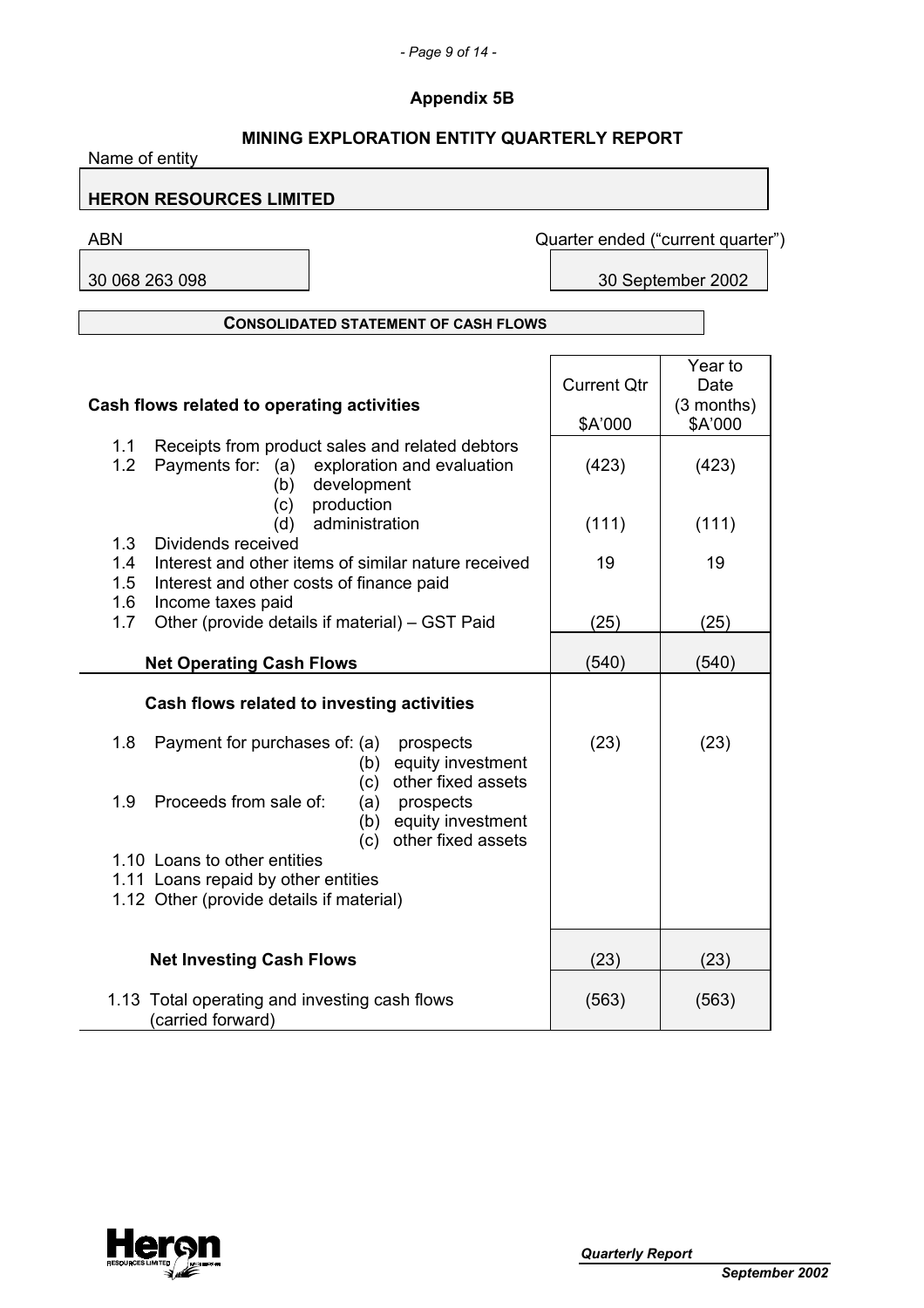# *- Page 9 of 14 -*

# **Appendix 5B**

| <b>MINING EXPLORATION ENTITY QUARTERLY REPORT</b><br>Name of entity                                                                        |                    |                                   |  |  |  |
|--------------------------------------------------------------------------------------------------------------------------------------------|--------------------|-----------------------------------|--|--|--|
| <b>HERON RESOURCES LIMITED</b>                                                                                                             |                    |                                   |  |  |  |
| <b>ABN</b>                                                                                                                                 |                    | Quarter ended ("current quarter") |  |  |  |
| 30 068 263 098                                                                                                                             |                    | 30 September 2002                 |  |  |  |
| <b>CONSOLIDATED STATEMENT OF CASH FLOWS</b>                                                                                                |                    |                                   |  |  |  |
|                                                                                                                                            |                    | Year to                           |  |  |  |
|                                                                                                                                            | <b>Current Qtr</b> | Date                              |  |  |  |
| Cash flows related to operating activities                                                                                                 | \$A'000            | $(3$ months)<br>\$A'000           |  |  |  |
| Receipts from product sales and related debtors<br>1.1<br>1.2<br>Payments for: (a) exploration and evaluation<br>development<br>(b)        | (423)              | (423)                             |  |  |  |
| production<br>(c)<br>administration<br>(d)                                                                                                 | (111)              | (111)                             |  |  |  |
| 1.3<br>Dividends received<br>Interest and other items of similar nature received<br>1.4<br>1.5<br>Interest and other costs of finance paid | 19                 | 19                                |  |  |  |
| 1.6<br>Income taxes paid<br>Other (provide details if material) - GST Paid<br>1.7                                                          | (25)               | (25)                              |  |  |  |
| <b>Net Operating Cash Flows</b>                                                                                                            | (540)              | (540)                             |  |  |  |
| Cash flows related to investing activities                                                                                                 |                    |                                   |  |  |  |
| 1.8<br>Payment for purchases of: (a)<br>prospects<br>equity investment<br>(b)<br>other fixed assets                                        | (23)               | (23)                              |  |  |  |
| (c)<br>1.9<br>Proceeds from sale of:<br>(a)<br>prospects<br>(b)<br>equity investment<br>other fixed assets<br>(c)                          |                    |                                   |  |  |  |
| 1.10 Loans to other entities                                                                                                               |                    |                                   |  |  |  |
| 1.11 Loans repaid by other entities<br>1.12 Other (provide details if material)                                                            |                    |                                   |  |  |  |
| <b>Net Investing Cash Flows</b>                                                                                                            | (23)               | (23)                              |  |  |  |
| 1.13 Total operating and investing cash flows<br>(carried forward)                                                                         | (563)              | (563)                             |  |  |  |

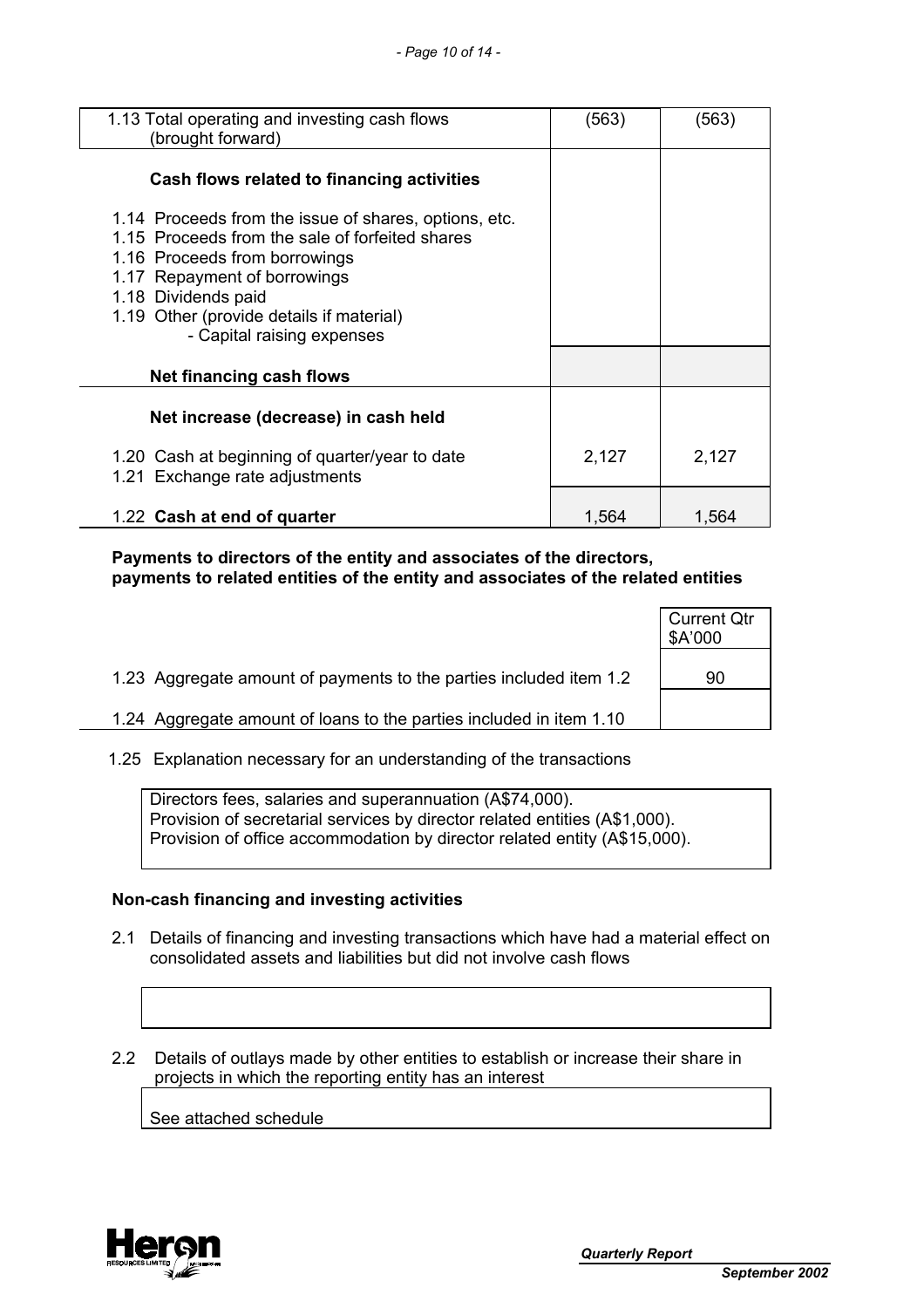| 1.13 Total operating and investing cash flows<br>(brought forward)                                                                                                                                                                                                         | (563) | (563) |
|----------------------------------------------------------------------------------------------------------------------------------------------------------------------------------------------------------------------------------------------------------------------------|-------|-------|
| Cash flows related to financing activities                                                                                                                                                                                                                                 |       |       |
| 1.14 Proceeds from the issue of shares, options, etc.<br>1.15 Proceeds from the sale of forfeited shares<br>1.16 Proceeds from borrowings<br>1.17 Repayment of borrowings<br>1.18 Dividends paid<br>1.19 Other (provide details if material)<br>- Capital raising expenses |       |       |
| Net financing cash flows                                                                                                                                                                                                                                                   |       |       |
| Net increase (decrease) in cash held                                                                                                                                                                                                                                       |       |       |
| 1.20 Cash at beginning of quarter/year to date<br>1.21 Exchange rate adjustments                                                                                                                                                                                           | 2,127 | 2,127 |
| 1.22 Cash at end of quarter                                                                                                                                                                                                                                                | 1,564 | 1,564 |

 **Payments to directors of the entity and associates of the directors, payments to related entities of the entity and associates of the related entities** 

|                                                                     | <b>Current Qtr</b><br>\$A'000 |
|---------------------------------------------------------------------|-------------------------------|
| 1.23 Aggregate amount of payments to the parties included item 1.2  | 90                            |
| 1.24 Aggregate amount of loans to the parties included in item 1.10 |                               |

1.25 Explanation necessary for an understanding of the transactions

Directors fees, salaries and superannuation (A\$74,000). Provision of secretarial services by director related entities (A\$1,000). Provision of office accommodation by director related entity (A\$15,000).

# **Non-cash financing and investing activities**

 2.1 Details of financing and investing transactions which have had a material effect on consolidated assets and liabilities but did not involve cash flows

 2.2 Details of outlays made by other entities to establish or increase their share in projects in which the reporting entity has an interest

See attached schedule

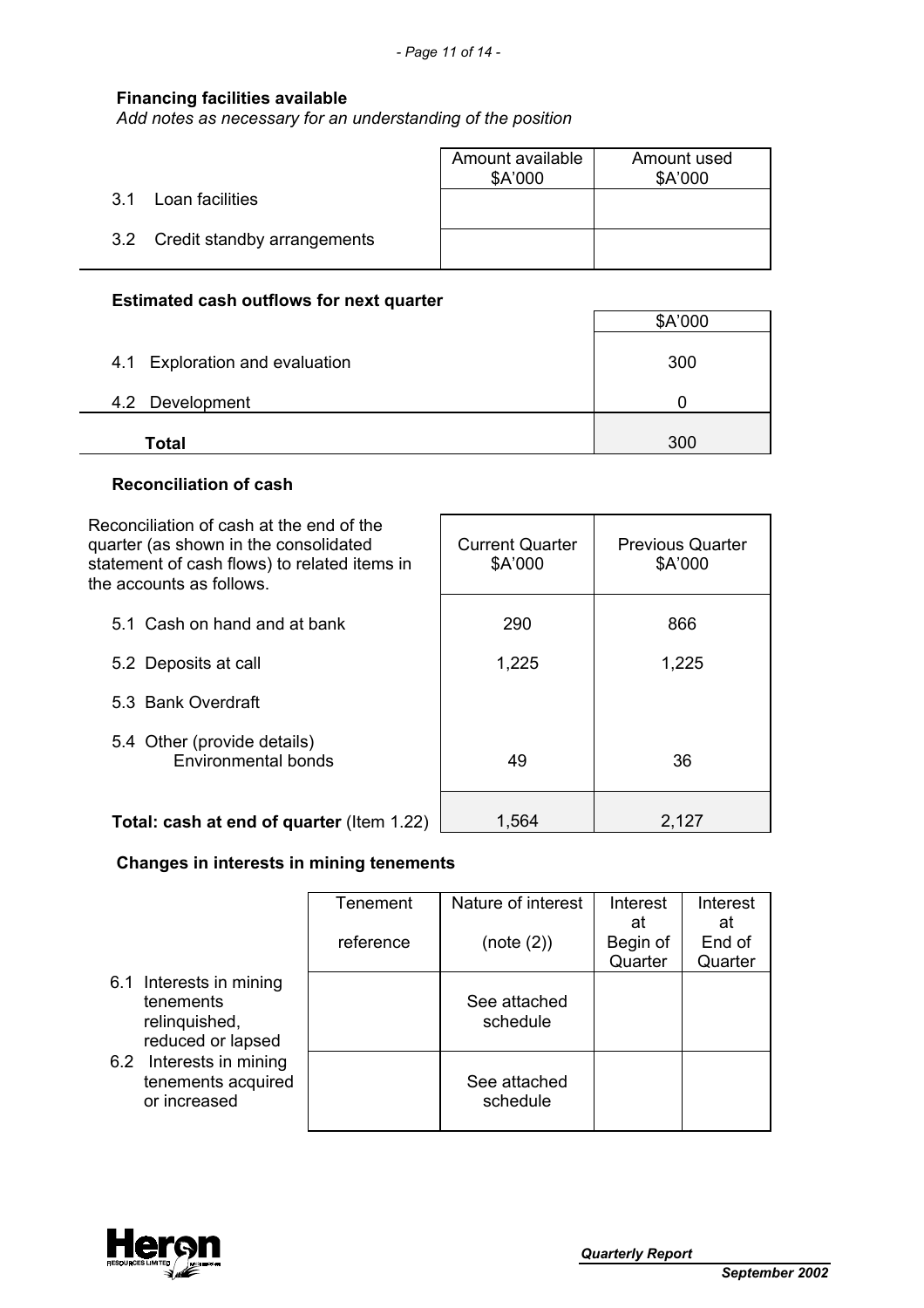# **Financing facilities available**

*Add notes as necessary for an understanding of the position*

|                                 | Amount available<br>\$A'000 | Amount used<br>\$A'000 |
|---------------------------------|-----------------------------|------------------------|
| Loan facilities<br>3.1          |                             |                        |
| 3.2 Credit standby arrangements |                             |                        |

# **Estimated cash outflows for next quarter**

|                                | \$A'000 |
|--------------------------------|---------|
| 4.1 Exploration and evaluation | 300     |
| 4.2 Development                |         |
| <b>Total</b>                   | 300     |

# **Reconciliation of cash**

| Reconciliation of cash at the end of the<br>quarter (as shown in the consolidated<br>statement of cash flows) to related items in<br>the accounts as follows. | <b>Current Quarter</b><br>\$A'000 | <b>Previous Quarter</b><br>\$A'000 |
|---------------------------------------------------------------------------------------------------------------------------------------------------------------|-----------------------------------|------------------------------------|
| 5.1 Cash on hand and at bank                                                                                                                                  | 290                               | 866                                |
| 5.2 Deposits at call                                                                                                                                          | 1,225                             | 1,225                              |
| 5.3 Bank Overdraft                                                                                                                                            |                                   |                                    |
| 5.4 Other (provide details)<br>Environmental bonds                                                                                                            | 49                                | 36                                 |
| Total: cash at end of quarter (Item 1.22)                                                                                                                     | 1,564                             | 2,127                              |

# **Changes in interests in mining tenements**

|                                                                            | <b>Tenement</b><br>reference | Nature of interest<br>(note (2)) | Interest<br>at<br>Begin of<br>Quarter | Interest<br>at<br>End of<br>Quarter |
|----------------------------------------------------------------------------|------------------------------|----------------------------------|---------------------------------------|-------------------------------------|
| 6.1 Interests in mining<br>tenements<br>relinquished,<br>reduced or lapsed |                              | See attached<br>schedule         |                                       |                                     |
| 6.2 Interests in mining<br>tenements acquired<br>or increased              |                              | See attached<br>schedule         |                                       |                                     |

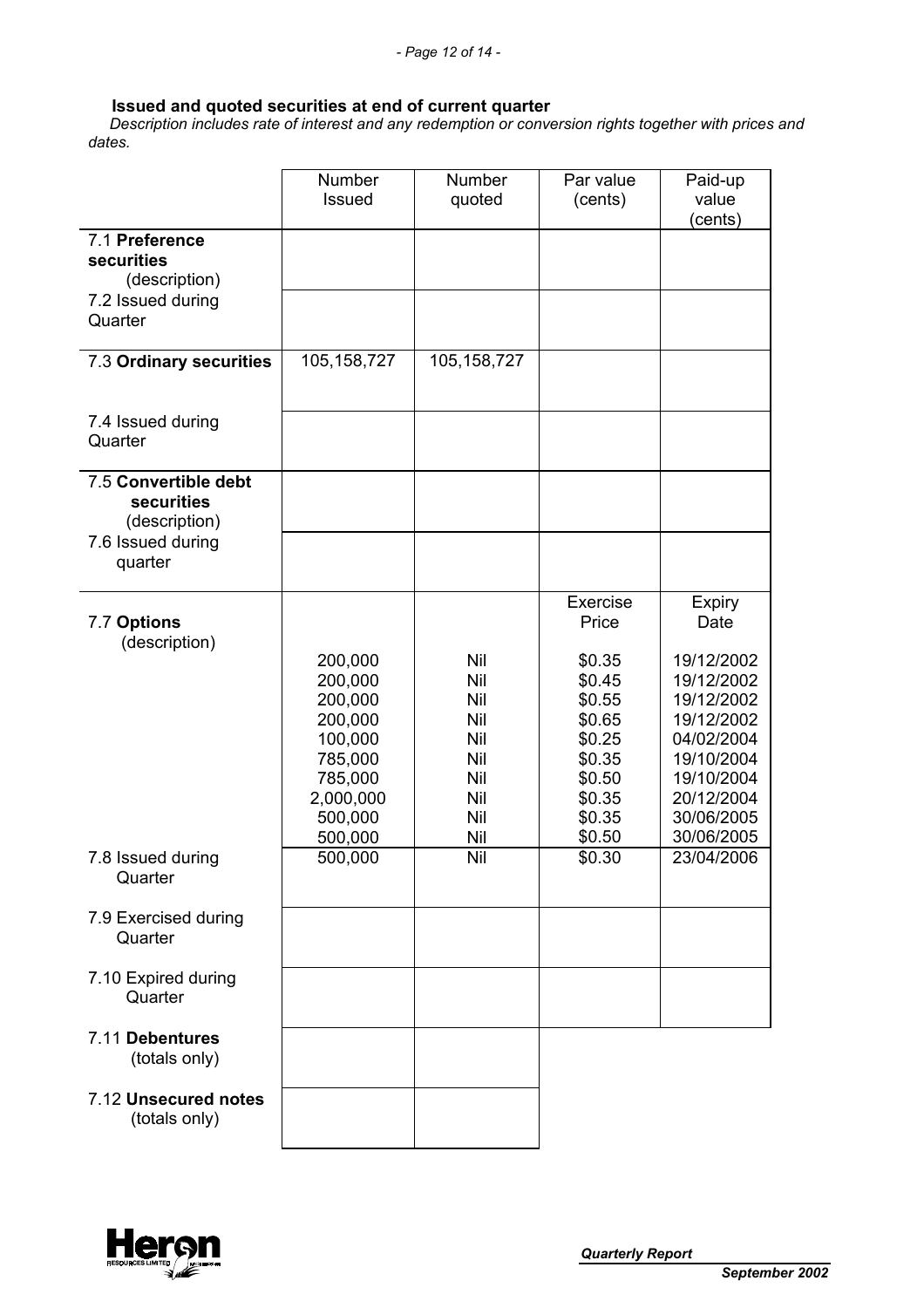#### **Issued and quoted securities at end of current quarter**

 *Description includes rate of interest and any redemption or conversion rights together with prices and dates.* 

|                                                     | Number<br>Issued                                                                                             | <b>Number</b><br>quoted                                            | Par value<br>(cents)                                                                                                  | Paid-up<br>value<br>(cents)                                                                                                                                       |
|-----------------------------------------------------|--------------------------------------------------------------------------------------------------------------|--------------------------------------------------------------------|-----------------------------------------------------------------------------------------------------------------------|-------------------------------------------------------------------------------------------------------------------------------------------------------------------|
| 7.1 Preference<br>securities<br>(description)       |                                                                                                              |                                                                    |                                                                                                                       |                                                                                                                                                                   |
| 7.2 Issued during<br>Quarter                        |                                                                                                              |                                                                    |                                                                                                                       |                                                                                                                                                                   |
| 7.3 Ordinary securities                             | 105,158,727                                                                                                  | 105, 158, 727                                                      |                                                                                                                       |                                                                                                                                                                   |
| 7.4 Issued during<br>Quarter                        |                                                                                                              |                                                                    |                                                                                                                       |                                                                                                                                                                   |
| 7.5 Convertible debt<br>securities<br>(description) |                                                                                                              |                                                                    |                                                                                                                       |                                                                                                                                                                   |
| 7.6 Issued during<br>quarter                        |                                                                                                              |                                                                    |                                                                                                                       |                                                                                                                                                                   |
| 7.7 Options<br>(description)                        | 200,000<br>200,000<br>200,000<br>200,000<br>100,000<br>785,000<br>785,000<br>2,000,000<br>500,000<br>500,000 | Nil<br>Nil<br>Nil<br>Nil<br>Nil<br>Nil<br>Nil<br>Nil<br>Nil<br>Nil | Exercise<br>Price<br>\$0.35<br>\$0.45<br>\$0.55<br>\$0.65<br>\$0.25<br>\$0.35<br>\$0.50<br>\$0.35<br>\$0.35<br>\$0.50 | <b>Expiry</b><br>Date<br>19/12/2002<br>19/12/2002<br>19/12/2002<br>19/12/2002<br>04/02/2004<br>19/10/2004<br>19/10/2004<br>20/12/2004<br>30/06/2005<br>30/06/2005 |
| 7.8 Issued during<br>Quarter                        | 500,000                                                                                                      | Nil                                                                | \$0.30                                                                                                                | 23/04/2006                                                                                                                                                        |
| 7.9 Exercised during<br>Quarter                     |                                                                                                              |                                                                    |                                                                                                                       |                                                                                                                                                                   |
| 7.10 Expired during<br>Quarter                      |                                                                                                              |                                                                    |                                                                                                                       |                                                                                                                                                                   |
| 7.11 Debentures<br>(totals only)                    |                                                                                                              |                                                                    |                                                                                                                       |                                                                                                                                                                   |
| 7.12 Unsecured notes<br>(totals only)               |                                                                                                              |                                                                    |                                                                                                                       |                                                                                                                                                                   |

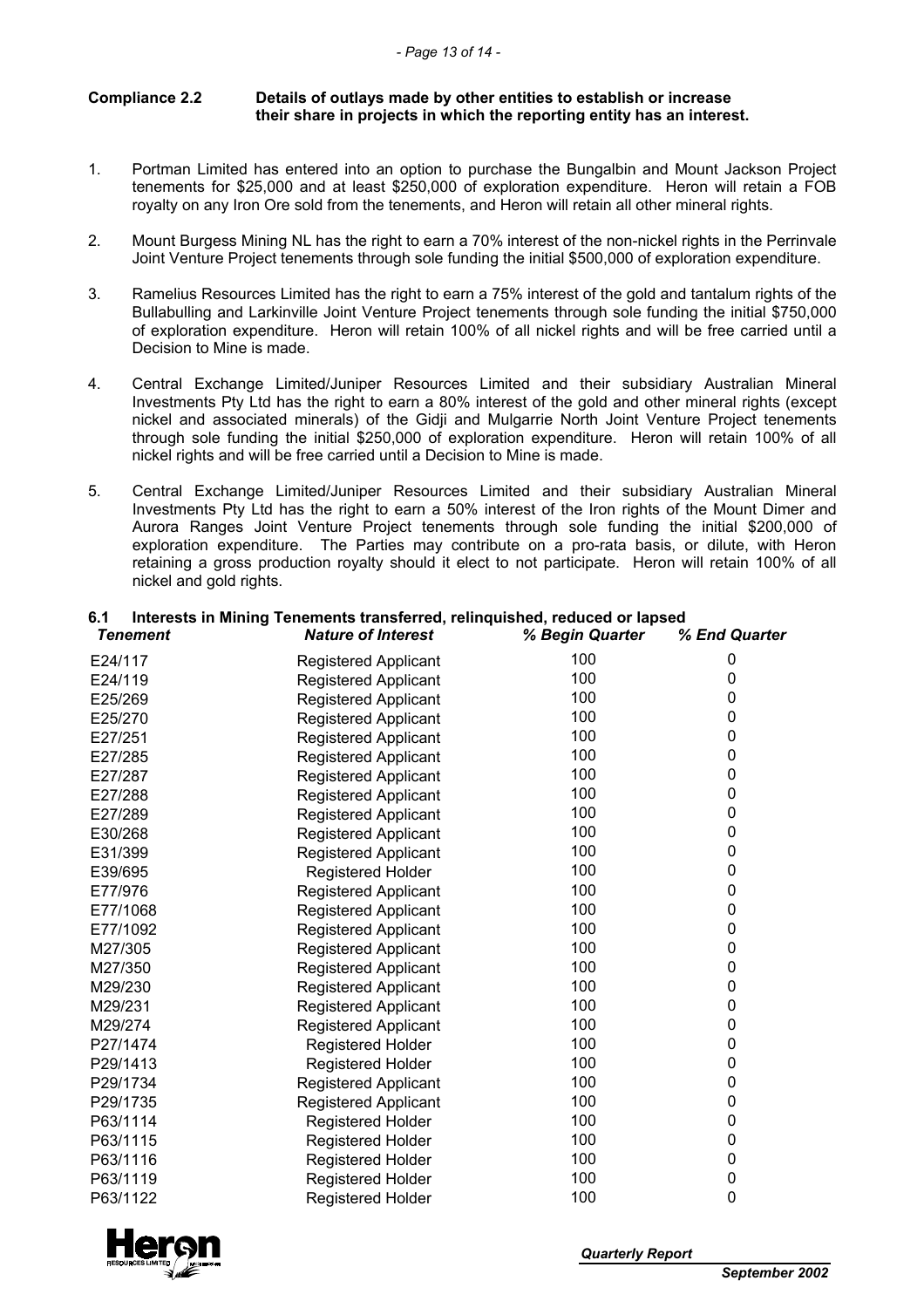#### **Compliance 2.2 Details of outlays made by other entities to establish or increase their share in projects in which the reporting entity has an interest.**

- 1. Portman Limited has entered into an option to purchase the Bungalbin and Mount Jackson Project tenements for \$25,000 and at least \$250,000 of exploration expenditure. Heron will retain a FOB royalty on any Iron Ore sold from the tenements, and Heron will retain all other mineral rights.
- 2. Mount Burgess Mining NL has the right to earn a 70% interest of the non-nickel rights in the Perrinvale Joint Venture Project tenements through sole funding the initial \$500,000 of exploration expenditure.
- 3. Ramelius Resources Limited has the right to earn a 75% interest of the gold and tantalum rights of the Bullabulling and Larkinville Joint Venture Project tenements through sole funding the initial \$750,000 of exploration expenditure. Heron will retain 100% of all nickel rights and will be free carried until a Decision to Mine is made.
- 4. Central Exchange Limited/Juniper Resources Limited and their subsidiary Australian Mineral Investments Pty Ltd has the right to earn a 80% interest of the gold and other mineral rights (except nickel and associated minerals) of the Gidji and Mulgarrie North Joint Venture Project tenements through sole funding the initial \$250,000 of exploration expenditure. Heron will retain 100% of all nickel rights and will be free carried until a Decision to Mine is made.
- 5. Central Exchange Limited/Juniper Resources Limited and their subsidiary Australian Mineral Investments Pty Ltd has the right to earn a 50% interest of the Iron rights of the Mount Dimer and Aurora Ranges Joint Venture Project tenements through sole funding the initial \$200,000 of exploration expenditure. The Parties may contribute on a pro-rata basis, or dilute, with Heron retaining a gross production royalty should it elect to not participate. Heron will retain 100% of all nickel and gold rights.

# **6.1 Interests in Mining Tenements transferred, relinquished, reduced or lapsed**

| Tenement | <b>Nature of Interest</b>   | % Begin Quarter | % End Quarter |
|----------|-----------------------------|-----------------|---------------|
| E24/117  | Registered Applicant        | 100             | 0             |
| E24/119  | <b>Registered Applicant</b> | 100             | 0             |
| E25/269  | <b>Registered Applicant</b> | 100             | 0             |
| E25/270  | <b>Registered Applicant</b> | 100             | 0             |
| E27/251  | Registered Applicant        | 100             | 0             |
| E27/285  | <b>Registered Applicant</b> | 100             | 0             |
| E27/287  | <b>Registered Applicant</b> | 100             | 0             |
| E27/288  | Registered Applicant        | 100             | 0             |
| E27/289  | <b>Registered Applicant</b> | 100             | 0             |
| E30/268  | Registered Applicant        | 100             | 0             |
| E31/399  | <b>Registered Applicant</b> | 100             | 0             |
| E39/695  | <b>Registered Holder</b>    | 100             | 0             |
| E77/976  | <b>Registered Applicant</b> | 100             | 0             |
| E77/1068 | <b>Registered Applicant</b> | 100             | 0             |
| E77/1092 | Registered Applicant        | 100             | 0             |
| M27/305  | <b>Registered Applicant</b> | 100             | 0             |
| M27/350  | Registered Applicant        | 100             | 0             |
| M29/230  | <b>Registered Applicant</b> | 100             | 0             |
| M29/231  | <b>Registered Applicant</b> | 100             | 0             |
| M29/274  | <b>Registered Applicant</b> | 100             | 0             |
| P27/1474 | <b>Registered Holder</b>    | 100             | 0             |
| P29/1413 | <b>Registered Holder</b>    | 100             | 0             |
| P29/1734 | Registered Applicant        | 100             | 0             |
| P29/1735 | <b>Registered Applicant</b> | 100             | 0             |
| P63/1114 | <b>Registered Holder</b>    | 100             | 0             |
| P63/1115 | <b>Registered Holder</b>    | 100             | 0             |
| P63/1116 | <b>Registered Holder</b>    | 100             | 0             |
| P63/1119 | <b>Registered Holder</b>    | 100             | 0             |
| P63/1122 | <b>Registered Holder</b>    | 100             | 0             |
|          |                             |                 |               |